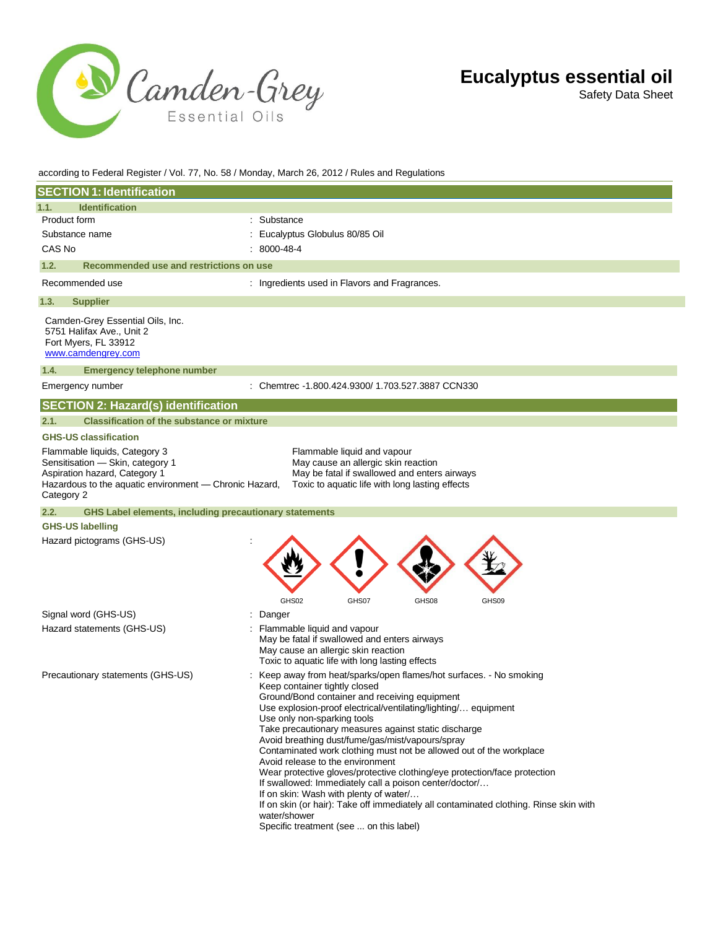

Safety Data Sheet

#### according to Federal Register / Vol. 77, No. 58 / Monday, March 26, 2012 / Rules and Regulations

| <b>SECTION 1: Identification</b>                                                                                                                                           |                                                                                                                                                                                                                                                                                                                                                                                                                                                                                                                                                                                                                                                                                                                                                                                                                    |
|----------------------------------------------------------------------------------------------------------------------------------------------------------------------------|--------------------------------------------------------------------------------------------------------------------------------------------------------------------------------------------------------------------------------------------------------------------------------------------------------------------------------------------------------------------------------------------------------------------------------------------------------------------------------------------------------------------------------------------------------------------------------------------------------------------------------------------------------------------------------------------------------------------------------------------------------------------------------------------------------------------|
| 1.1.<br><b>Identification</b>                                                                                                                                              |                                                                                                                                                                                                                                                                                                                                                                                                                                                                                                                                                                                                                                                                                                                                                                                                                    |
| Product form                                                                                                                                                               | Substance                                                                                                                                                                                                                                                                                                                                                                                                                                                                                                                                                                                                                                                                                                                                                                                                          |
| Substance name                                                                                                                                                             | Eucalyptus Globulus 80/85 Oil                                                                                                                                                                                                                                                                                                                                                                                                                                                                                                                                                                                                                                                                                                                                                                                      |
| CAS No                                                                                                                                                                     | 8000-48-4                                                                                                                                                                                                                                                                                                                                                                                                                                                                                                                                                                                                                                                                                                                                                                                                          |
| 1.2.<br>Recommended use and restrictions on use                                                                                                                            |                                                                                                                                                                                                                                                                                                                                                                                                                                                                                                                                                                                                                                                                                                                                                                                                                    |
| Recommended use                                                                                                                                                            | : Ingredients used in Flavors and Fragrances.                                                                                                                                                                                                                                                                                                                                                                                                                                                                                                                                                                                                                                                                                                                                                                      |
| 1.3.<br><b>Supplier</b>                                                                                                                                                    |                                                                                                                                                                                                                                                                                                                                                                                                                                                                                                                                                                                                                                                                                                                                                                                                                    |
| Camden-Grey Essential Oils, Inc.<br>5751 Halifax Ave., Unit 2<br>Fort Myers, FL 33912<br>www.camdengrey.com                                                                |                                                                                                                                                                                                                                                                                                                                                                                                                                                                                                                                                                                                                                                                                                                                                                                                                    |
| <b>Emergency telephone number</b><br>1.4.                                                                                                                                  |                                                                                                                                                                                                                                                                                                                                                                                                                                                                                                                                                                                                                                                                                                                                                                                                                    |
| Emergency number                                                                                                                                                           | : Chemtrec -1.800.424.9300/ 1.703.527.3887 CCN330                                                                                                                                                                                                                                                                                                                                                                                                                                                                                                                                                                                                                                                                                                                                                                  |
| <b>SECTION 2: Hazard(s) identification</b>                                                                                                                                 |                                                                                                                                                                                                                                                                                                                                                                                                                                                                                                                                                                                                                                                                                                                                                                                                                    |
| <b>Classification of the substance or mixture</b><br>2.1.                                                                                                                  |                                                                                                                                                                                                                                                                                                                                                                                                                                                                                                                                                                                                                                                                                                                                                                                                                    |
| <b>GHS-US classification</b>                                                                                                                                               |                                                                                                                                                                                                                                                                                                                                                                                                                                                                                                                                                                                                                                                                                                                                                                                                                    |
| Flammable liquids, Category 3<br>Sensitisation - Skin, category 1<br>Aspiration hazard, Category 1<br>Hazardous to the aquatic environment - Chronic Hazard,<br>Category 2 | Flammable liquid and vapour<br>May cause an allergic skin reaction<br>May be fatal if swallowed and enters airways<br>Toxic to aquatic life with long lasting effects                                                                                                                                                                                                                                                                                                                                                                                                                                                                                                                                                                                                                                              |
| 2.2.<br><b>GHS Label elements, including precautionary statements</b>                                                                                                      |                                                                                                                                                                                                                                                                                                                                                                                                                                                                                                                                                                                                                                                                                                                                                                                                                    |
| <b>GHS-US labelling</b>                                                                                                                                                    |                                                                                                                                                                                                                                                                                                                                                                                                                                                                                                                                                                                                                                                                                                                                                                                                                    |
| Hazard pictograms (GHS-US)                                                                                                                                                 | GHS02<br>GHS07<br>GHS08<br>GHS09                                                                                                                                                                                                                                                                                                                                                                                                                                                                                                                                                                                                                                                                                                                                                                                   |
| Signal word (GHS-US)                                                                                                                                                       | Danger                                                                                                                                                                                                                                                                                                                                                                                                                                                                                                                                                                                                                                                                                                                                                                                                             |
| Hazard statements (GHS-US)                                                                                                                                                 | Flammable liquid and vapour<br>May be fatal if swallowed and enters airways<br>May cause an allergic skin reaction<br>Toxic to aquatic life with long lasting effects                                                                                                                                                                                                                                                                                                                                                                                                                                                                                                                                                                                                                                              |
| Precautionary statements (GHS-US)                                                                                                                                          | : Keep away from heat/sparks/open flames/hot surfaces. - No smoking<br>Keep container tightly closed<br>Ground/Bond container and receiving equipment<br>Use explosion-proof electrical/ventilating/lighting/ equipment<br>Use only non-sparking tools<br>Take precautionary measures against static discharge<br>Avoid breathing dust/fume/gas/mist/vapours/spray<br>Contaminated work clothing must not be allowed out of the workplace<br>Avoid release to the environment<br>Wear protective gloves/protective clothing/eye protection/face protection<br>If swallowed: Immediately call a poison center/doctor/<br>If on skin: Wash with plenty of water/<br>If on skin (or hair): Take off immediately all contaminated clothing. Rinse skin with<br>water/shower<br>Specific treatment (see  on this label) |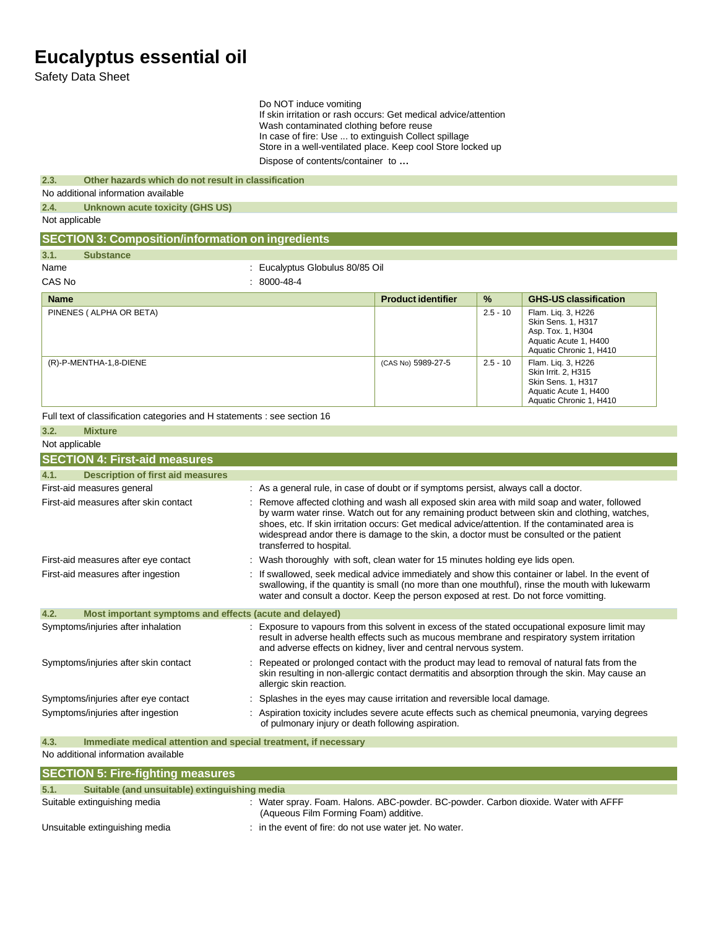Safety Data Sheet

Do NOT induce vomiting

If skin irritation or rash occurs: Get medical advice/attention Wash contaminated clothing before reuse In case of fire: Use ... to extinguish Collect spillage Store in a well-ventilated place. Keep cool Store locked up

|                |                                                                          | Dispose of contents/container to                                                                                                                                                                                            |                           |            |                                                                                                                                                                                                    |  |
|----------------|--------------------------------------------------------------------------|-----------------------------------------------------------------------------------------------------------------------------------------------------------------------------------------------------------------------------|---------------------------|------------|----------------------------------------------------------------------------------------------------------------------------------------------------------------------------------------------------|--|
| 2.3.           | Other hazards which do not result in classification                      |                                                                                                                                                                                                                             |                           |            |                                                                                                                                                                                                    |  |
|                | No additional information available                                      |                                                                                                                                                                                                                             |                           |            |                                                                                                                                                                                                    |  |
| 2.4.           | <b>Unknown acute toxicity (GHS US)</b>                                   |                                                                                                                                                                                                                             |                           |            |                                                                                                                                                                                                    |  |
| Not applicable |                                                                          |                                                                                                                                                                                                                             |                           |            |                                                                                                                                                                                                    |  |
|                | <b>SECTION 3: Composition/information on ingredients</b>                 |                                                                                                                                                                                                                             |                           |            |                                                                                                                                                                                                    |  |
| 3.1.           | <b>Substance</b>                                                         |                                                                                                                                                                                                                             |                           |            |                                                                                                                                                                                                    |  |
| Name           |                                                                          | : Eucalyptus Globulus 80/85 Oil                                                                                                                                                                                             |                           |            |                                                                                                                                                                                                    |  |
| CAS No         |                                                                          | $: 8000 - 48 - 4$                                                                                                                                                                                                           |                           |            |                                                                                                                                                                                                    |  |
| <b>Name</b>    |                                                                          |                                                                                                                                                                                                                             | <b>Product identifier</b> | %          | <b>GHS-US classification</b>                                                                                                                                                                       |  |
|                | PINENES (ALPHA OR BETA)                                                  |                                                                                                                                                                                                                             |                           | $2.5 - 10$ | Flam. Liq. 3, H226<br>Skin Sens. 1, H317<br>Asp. Tox. 1, H304<br>Aquatic Acute 1, H400<br>Aquatic Chronic 1, H410                                                                                  |  |
|                | (R)-P-MENTHA-1,8-DIENE                                                   |                                                                                                                                                                                                                             | (CAS No) 5989-27-5        | $2.5 - 10$ | Flam. Lig. 3, H226<br>Skin Irrit. 2, H315<br>Skin Sens. 1, H317<br>Aquatic Acute 1, H400<br>Aquatic Chronic 1, H410                                                                                |  |
|                | Full text of classification categories and H statements : see section 16 |                                                                                                                                                                                                                             |                           |            |                                                                                                                                                                                                    |  |
| 3.2.           | <b>Mixture</b>                                                           |                                                                                                                                                                                                                             |                           |            |                                                                                                                                                                                                    |  |
| Not applicable |                                                                          |                                                                                                                                                                                                                             |                           |            |                                                                                                                                                                                                    |  |
|                | <b>SECTION 4: First-aid measures</b>                                     |                                                                                                                                                                                                                             |                           |            |                                                                                                                                                                                                    |  |
| 4.1.           | <b>Description of first aid measures</b>                                 |                                                                                                                                                                                                                             |                           |            |                                                                                                                                                                                                    |  |
|                | First-aid measures general                                               | : As a general rule, in case of doubt or if symptoms persist, always call a doctor.                                                                                                                                         |                           |            |                                                                                                                                                                                                    |  |
|                | First-aid measures after skin contact                                    | shoes, etc. If skin irritation occurs: Get medical advice/attention. If the contaminated area is<br>widespread andor there is damage to the skin, a doctor must be consulted or the patient<br>transferred to hospital.     |                           |            | : Remove affected clothing and wash all exposed skin area with mild soap and water, followed<br>by warm water rinse. Watch out for any remaining product between skin and clothing, watches,       |  |
|                | First-aid measures after eye contact                                     | Wash thoroughly with soft, clean water for 15 minutes holding eye lids open.                                                                                                                                                |                           |            |                                                                                                                                                                                                    |  |
|                | First-aid measures after ingestion                                       | water and consult a doctor. Keep the person exposed at rest. Do not force vomitting.                                                                                                                                        |                           |            | If swallowed, seek medical advice immediately and show this container or label. In the event of<br>swallowing, if the quantity is small (no more than one mouthful), rinse the mouth with lukewarm |  |
| 4.2.           | Most important symptoms and effects (acute and delayed)                  |                                                                                                                                                                                                                             |                           |            |                                                                                                                                                                                                    |  |
|                | Symptoms/injuries after inhalation                                       | and adverse effects on kidney, liver and central nervous system.                                                                                                                                                            |                           |            | : Exposure to vapours from this solvent in excess of the stated occupational exposure limit may<br>result in adverse health effects such as mucous membrane and respiratory system irritation      |  |
|                | Symptoms/injuries after skin contact                                     | : Repeated or prolonged contact with the product may lead to removal of natural fats from the<br>skin resulting in non-allergic contact dermatitis and absorption through the skin. May cause an<br>allergic skin reaction. |                           |            |                                                                                                                                                                                                    |  |
|                | Symptoms/injuries after eye contact                                      | Splashes in the eyes may cause irritation and reversible local damage.                                                                                                                                                      |                           |            |                                                                                                                                                                                                    |  |
|                | Symptoms/injuries after ingestion                                        | of pulmonary injury or death following aspiration.                                                                                                                                                                          |                           |            | Aspiration toxicity includes severe acute effects such as chemical pneumonia, varying degrees                                                                                                      |  |

| 4.3. | Immediate medical attention and special treatment, if necessary |  |  |
|------|-----------------------------------------------------------------|--|--|
|      | No additional information available                             |  |  |

| <b>SECTION 5: Fire-fighting measures</b>              |                                                                                                                              |
|-------------------------------------------------------|------------------------------------------------------------------------------------------------------------------------------|
| 5.1.<br>Suitable (and unsuitable) extinguishing media |                                                                                                                              |
| Suitable extinguishing media                          | : Water spray. Foam. Halons. ABC-powder. BC-powder. Carbon dioxide. Water with AFFF<br>(Aqueous Film Forming Foam) additive. |
| Unsuitable extinguishing media                        | : in the event of fire: do not use water jet. No water.                                                                      |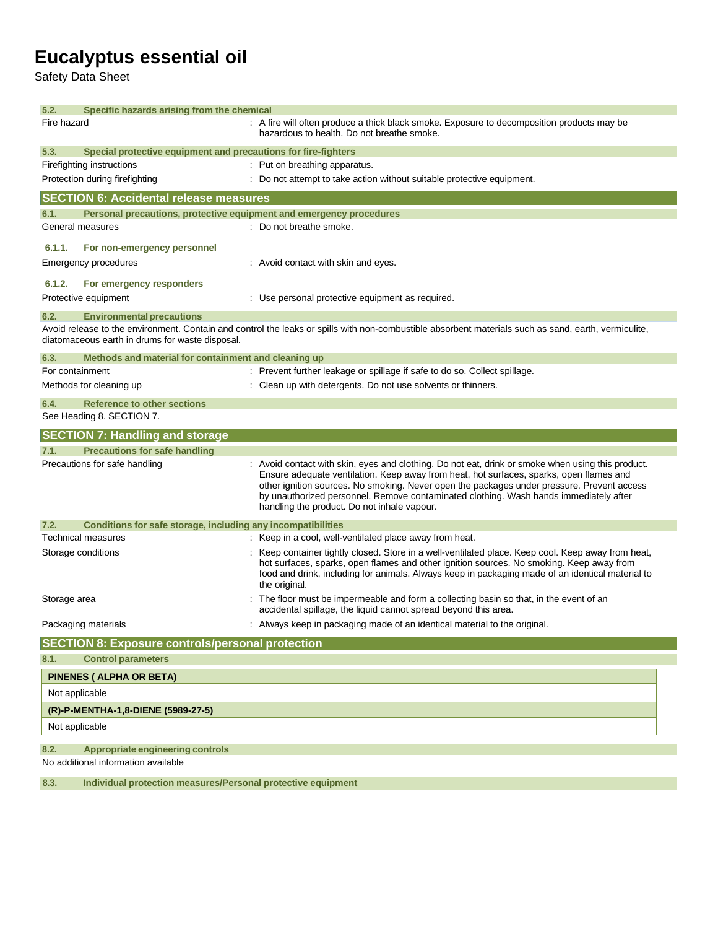Safety Data Sheet

| 5.2.<br>Specific hazards arising from the chemical                              |                                                                                                                                                                                                                                                                                                                                                                                                                                    |
|---------------------------------------------------------------------------------|------------------------------------------------------------------------------------------------------------------------------------------------------------------------------------------------------------------------------------------------------------------------------------------------------------------------------------------------------------------------------------------------------------------------------------|
| Fire hazard                                                                     | : A fire will often produce a thick black smoke. Exposure to decomposition products may be<br>hazardous to health. Do not breathe smoke.                                                                                                                                                                                                                                                                                           |
| 5.3.<br>Special protective equipment and precautions for fire-fighters          |                                                                                                                                                                                                                                                                                                                                                                                                                                    |
| Firefighting instructions                                                       | : Put on breathing apparatus.                                                                                                                                                                                                                                                                                                                                                                                                      |
| Protection during firefighting                                                  | : Do not attempt to take action without suitable protective equipment.                                                                                                                                                                                                                                                                                                                                                             |
| <b>SECTION 6: Accidental release measures</b>                                   |                                                                                                                                                                                                                                                                                                                                                                                                                                    |
| Personal precautions, protective equipment and emergency procedures<br>6.1.     |                                                                                                                                                                                                                                                                                                                                                                                                                                    |
| General measures                                                                | : Do not breathe smoke.                                                                                                                                                                                                                                                                                                                                                                                                            |
| 6.1.1.<br>For non-emergency personnel                                           |                                                                                                                                                                                                                                                                                                                                                                                                                                    |
| Emergency procedures                                                            | : Avoid contact with skin and eyes.                                                                                                                                                                                                                                                                                                                                                                                                |
|                                                                                 |                                                                                                                                                                                                                                                                                                                                                                                                                                    |
| 6.1.2.<br>For emergency responders                                              |                                                                                                                                                                                                                                                                                                                                                                                                                                    |
| Protective equipment                                                            | : Use personal protective equipment as required.                                                                                                                                                                                                                                                                                                                                                                                   |
| 6.2.<br><b>Environmental precautions</b>                                        |                                                                                                                                                                                                                                                                                                                                                                                                                                    |
| diatomaceous earth in drums for waste disposal.                                 | Avoid release to the environment. Contain and control the leaks or spills with non-combustible absorbent materials such as sand, earth, vermiculite,                                                                                                                                                                                                                                                                               |
| 6.3.<br>Methods and material for containment and cleaning up                    |                                                                                                                                                                                                                                                                                                                                                                                                                                    |
| For containment                                                                 | : Prevent further leakage or spillage if safe to do so. Collect spillage.                                                                                                                                                                                                                                                                                                                                                          |
| Methods for cleaning up                                                         | : Clean up with detergents. Do not use solvents or thinners.                                                                                                                                                                                                                                                                                                                                                                       |
| <b>Reference to other sections</b><br>6.4.                                      |                                                                                                                                                                                                                                                                                                                                                                                                                                    |
| See Heading 8. SECTION 7.                                                       |                                                                                                                                                                                                                                                                                                                                                                                                                                    |
| <b>SECTION 7: Handling and storage</b>                                          |                                                                                                                                                                                                                                                                                                                                                                                                                                    |
| 7.1.<br><b>Precautions for safe handling</b>                                    |                                                                                                                                                                                                                                                                                                                                                                                                                                    |
| Precautions for safe handling                                                   | : Avoid contact with skin, eyes and clothing. Do not eat, drink or smoke when using this product.<br>Ensure adequate ventilation. Keep away from heat, hot surfaces, sparks, open flames and<br>other ignition sources. No smoking. Never open the packages under pressure. Prevent access<br>by unauthorized personnel. Remove contaminated clothing. Wash hands immediately after<br>handling the product. Do not inhale vapour. |
| 7.2.<br>Conditions for safe storage, including any incompatibilities            |                                                                                                                                                                                                                                                                                                                                                                                                                                    |
| <b>Technical measures</b>                                                       | : Keep in a cool, well-ventilated place away from heat.                                                                                                                                                                                                                                                                                                                                                                            |
| Storage conditions                                                              | : Keep container tightly closed. Store in a well-ventilated place. Keep cool. Keep away from heat,<br>hot surfaces, sparks, open flames and other ignition sources. No smoking. Keep away from<br>food and drink, including for animals. Always keep in packaging made of an identical material to<br>the original.                                                                                                                |
| Storage area                                                                    |                                                                                                                                                                                                                                                                                                                                                                                                                                    |
|                                                                                 | The floor must be impermeable and form a collecting basin so that, in the event of an<br>accidental spillage, the liquid cannot spread beyond this area.                                                                                                                                                                                                                                                                           |
| Packaging materials                                                             | Always keep in packaging made of an identical material to the original.                                                                                                                                                                                                                                                                                                                                                            |
| <b>SECTION 8: Exposure controls/personal protection</b>                         |                                                                                                                                                                                                                                                                                                                                                                                                                                    |
| <b>Control parameters</b><br>8.1.                                               |                                                                                                                                                                                                                                                                                                                                                                                                                                    |
|                                                                                 |                                                                                                                                                                                                                                                                                                                                                                                                                                    |
| PINENES ( ALPHA OR BETA)                                                        |                                                                                                                                                                                                                                                                                                                                                                                                                                    |
| Not applicable                                                                  |                                                                                                                                                                                                                                                                                                                                                                                                                                    |
| (R)-P-MENTHA-1,8-DIENE (5989-27-5)<br>Not applicable                            |                                                                                                                                                                                                                                                                                                                                                                                                                                    |
|                                                                                 |                                                                                                                                                                                                                                                                                                                                                                                                                                    |
| 8.2.<br>Appropriate engineering controls<br>No additional information available |                                                                                                                                                                                                                                                                                                                                                                                                                                    |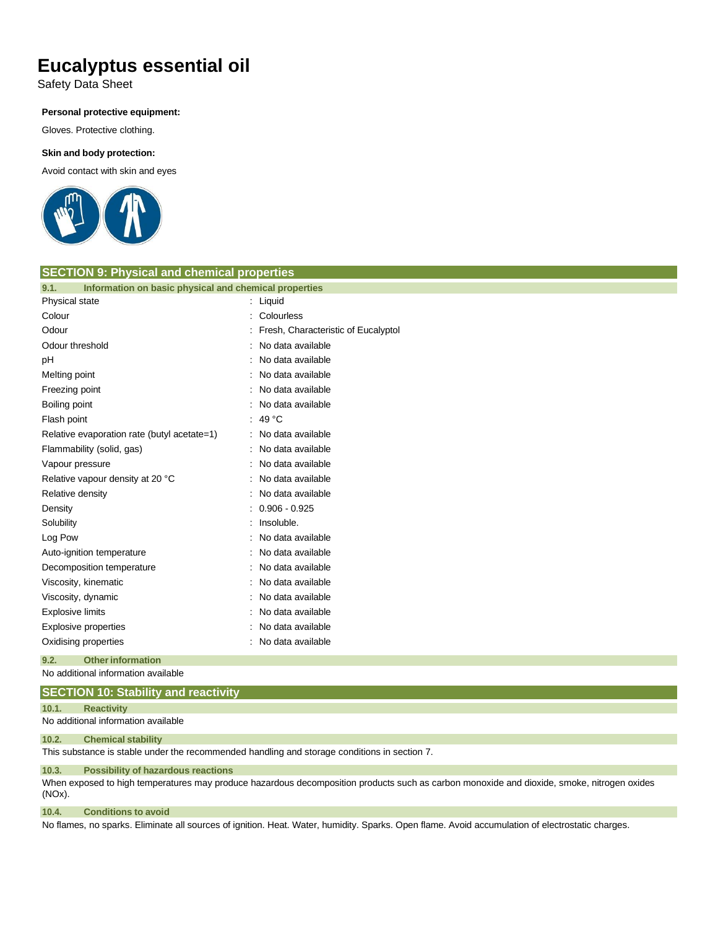Safety Data Sheet

#### **Personal protective equipment:**

Gloves. Protective clothing.

#### **Skin and body protection:**

Avoid contact with skin and eyes



| <b>SECTION 9: Physical and chemical properties</b>            |                                       |  |
|---------------------------------------------------------------|---------------------------------------|--|
| Information on basic physical and chemical properties<br>9.1. |                                       |  |
| Physical state                                                | $:$ Liquid                            |  |
| Colour                                                        | : Colourless                          |  |
| Odour                                                         | : Fresh, Characteristic of Eucalyptol |  |
| Odour threshold                                               | No data available                     |  |
| рH                                                            | No data available                     |  |
| Melting point                                                 | : No data available                   |  |
| Freezing point                                                | No data available                     |  |
| Boiling point                                                 | No data available                     |  |
| Flash point                                                   | : 49 $^{\circ}$ C                     |  |
| Relative evaporation rate (butyl acetate=1)                   | : No data available                   |  |
| Flammability (solid, gas)                                     | : No data available                   |  |
| Vapour pressure                                               | : No data available                   |  |
| Relative vapour density at 20 °C                              | No data available                     |  |
| Relative density                                              | : No data available                   |  |
| Density                                                       | $: 0.906 - 0.925$                     |  |
| Solubility                                                    | : Insoluble.                          |  |
| Log Pow                                                       | No data available                     |  |
| Auto-ignition temperature                                     | No data available                     |  |
| Decomposition temperature                                     | : No data available                   |  |
| Viscosity, kinematic                                          | No data available                     |  |
| Viscosity, dynamic                                            | : No data available                   |  |
| <b>Explosive limits</b>                                       | No data available                     |  |
| <b>Explosive properties</b>                                   | : No data available                   |  |
| Oxidising properties                                          | No data available                     |  |
| 9.2.<br><b>Other information</b>                              |                                       |  |

No additional information available

### **SECTION 10: Stability and reactivity**

#### **10.1. Reactivity**

No additional information available

#### **10.2. Chemical stability**

This substance is stable under the recommended handling and storage conditions in section 7.

#### **10.3. Possibility of hazardous reactions**

When exposed to high temperatures may produce hazardous decomposition products such as carbon monoxide and dioxide, smoke, nitrogen oxides (NOx).

#### **10.4. Conditions to avoid**

No flames, no sparks. Eliminate all sources of ignition. Heat. Water, humidity. Sparks. Open flame. Avoid accumulation of electrostatic charges.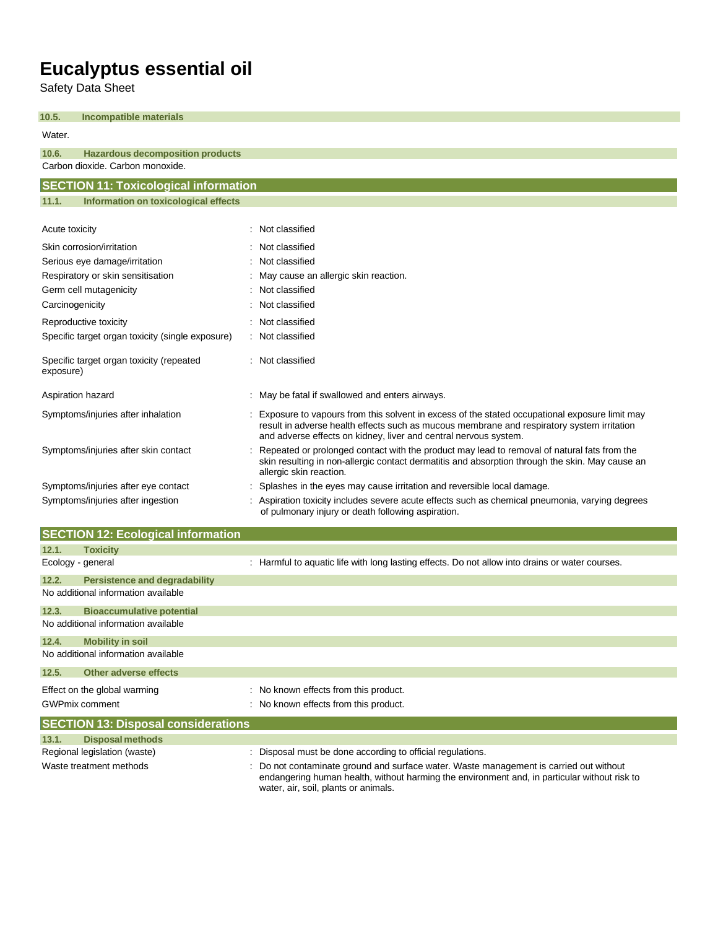Safety Data Sheet

| 10.5.<br><b>Incompatible materials</b>                |                                                                                                                                                                                                                                                                 |
|-------------------------------------------------------|-----------------------------------------------------------------------------------------------------------------------------------------------------------------------------------------------------------------------------------------------------------------|
| Water.                                                |                                                                                                                                                                                                                                                                 |
| 10.6.<br><b>Hazardous decomposition products</b>      |                                                                                                                                                                                                                                                                 |
| Carbon dioxide, Carbon monoxide.                      |                                                                                                                                                                                                                                                                 |
| <b>SECTION 11: Toxicological information</b>          |                                                                                                                                                                                                                                                                 |
| Information on toxicological effects<br>11.1.         |                                                                                                                                                                                                                                                                 |
| Acute toxicity                                        | Not classified                                                                                                                                                                                                                                                  |
| Skin corrosion/irritation                             | Not classified                                                                                                                                                                                                                                                  |
| Serious eye damage/irritation                         | : Not classified                                                                                                                                                                                                                                                |
| Respiratory or skin sensitisation                     | May cause an allergic skin reaction.                                                                                                                                                                                                                            |
| Germ cell mutagenicity                                | Not classified                                                                                                                                                                                                                                                  |
| Carcinogenicity                                       | Not classified                                                                                                                                                                                                                                                  |
| Reproductive toxicity                                 | : Not classified                                                                                                                                                                                                                                                |
| Specific target organ toxicity (single exposure)      | : Not classified                                                                                                                                                                                                                                                |
| Specific target organ toxicity (repeated<br>exposure) | : Not classified                                                                                                                                                                                                                                                |
| Aspiration hazard                                     | May be fatal if swallowed and enters airways.                                                                                                                                                                                                                   |
| Symptoms/injuries after inhalation                    | Exposure to vapours from this solvent in excess of the stated occupational exposure limit may<br>result in adverse health effects such as mucous membrane and respiratory system irritation<br>and adverse effects on kidney, liver and central nervous system. |
| Symptoms/injuries after skin contact                  | Repeated or prolonged contact with the product may lead to removal of natural fats from the<br>skin resulting in non-allergic contact dermatitis and absorption through the skin. May cause an<br>allergic skin reaction.                                       |
| Symptoms/injuries after eye contact                   | Splashes in the eyes may cause irritation and reversible local damage.                                                                                                                                                                                          |
| Symptoms/injuries after ingestion                     | Aspiration toxicity includes severe acute effects such as chemical pneumonia, varying degrees<br>of pulmonary injury or death following aspiration.                                                                                                             |

|                   | <b>SECTION 12: Ecological information</b>  |                                                                                                 |
|-------------------|--------------------------------------------|-------------------------------------------------------------------------------------------------|
| 12.1.             | <b>Toxicity</b>                            |                                                                                                 |
| Ecology - general |                                            | : Harmful to aquatic life with long lasting effects. Do not allow into drains or water courses. |
| 12.2.             | <b>Persistence and degradability</b>       |                                                                                                 |
|                   | No additional information available        |                                                                                                 |
| 12.3.             | <b>Bioaccumulative potential</b>           |                                                                                                 |
|                   | No additional information available        |                                                                                                 |
| 12.4.             | <b>Mobility in soil</b>                    |                                                                                                 |
|                   | No additional information available        |                                                                                                 |
| 12.5.             | <b>Other adverse effects</b>               |                                                                                                 |
|                   | Effect on the global warming               | : No known effects from this product.                                                           |
|                   | <b>GWPmix comment</b>                      | : No known effects from this product.                                                           |
|                   | <b>SECTION 13: Disposal considerations</b> |                                                                                                 |
| 13.1.             | <b>Disposal methods</b>                    |                                                                                                 |
|                   | Regional legislation (waste)               | : Disposal must be done according to official regulations.                                      |

Waste treatment methods : Do not contaminate ground and surface water. Waste management is carried out without endangering human health, without harming the environment and, in particular without risk to water, air, soil, plants or animals.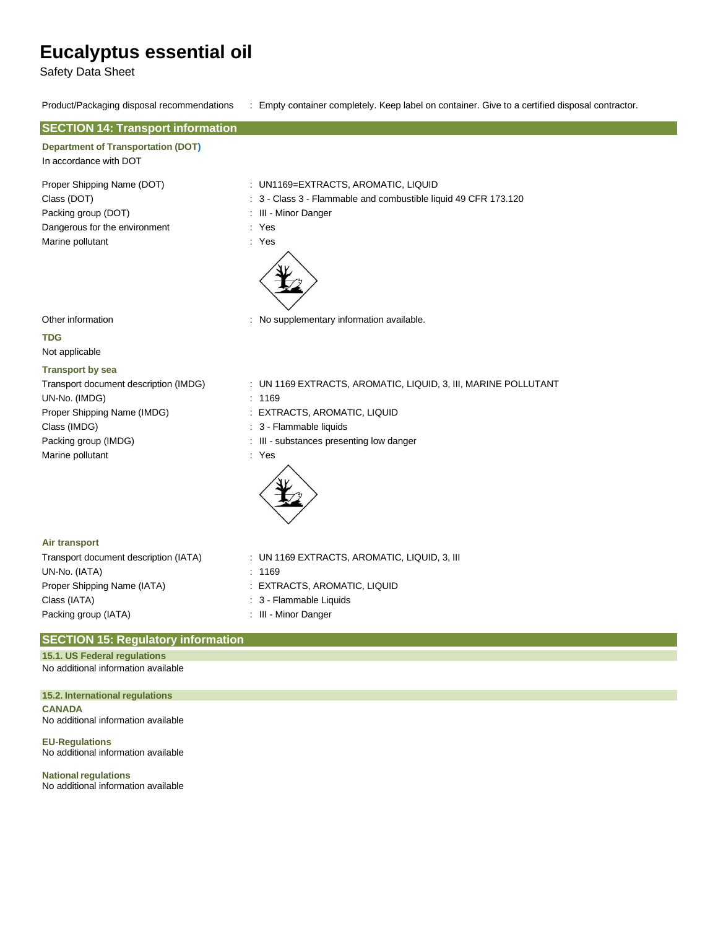Safety Data Sheet

#### Product/Packaging disposal recommendations : Empty container completely. Keep label on container. Give to a certified disposal contractor.

| <b>SECTION 14: Transport information</b>                                                                                                                                     |                                                                                                                                                                                          |
|------------------------------------------------------------------------------------------------------------------------------------------------------------------------------|------------------------------------------------------------------------------------------------------------------------------------------------------------------------------------------|
| <b>Department of Transportation (DOT)</b><br>In accordance with DOT                                                                                                          |                                                                                                                                                                                          |
| Proper Shipping Name (DOT)<br>Class (DOT)                                                                                                                                    | : UN1169=EXTRACTS, AROMATIC, LIQUID<br>: 3 - Class 3 - Flammable and combustible liquid 49 CFR 173.120                                                                                   |
| Packing group (DOT)                                                                                                                                                          | : III - Minor Danger                                                                                                                                                                     |
| Dangerous for the environment                                                                                                                                                | : Yes                                                                                                                                                                                    |
| Marine pollutant                                                                                                                                                             | : Yes                                                                                                                                                                                    |
| Other information                                                                                                                                                            | : No supplementary information available.                                                                                                                                                |
| <b>TDG</b>                                                                                                                                                                   |                                                                                                                                                                                          |
| Not applicable                                                                                                                                                               |                                                                                                                                                                                          |
| <b>Transport by sea</b><br>Transport document description (IMDG)<br>UN-No. (IMDG)<br>Proper Shipping Name (IMDG)<br>Class (IMDG)<br>Packing group (IMDG)<br>Marine pollutant | : UN 1169 EXTRACTS, AROMATIC, LIQUID, 3, III, MARINE POLLUTANT<br>: 1169<br>: EXTRACTS, AROMATIC, LIQUID<br>: 3 - Flammable liquids<br>: III - substances presenting low danger<br>: Yes |
| Air transport                                                                                                                                                                |                                                                                                                                                                                          |
| Transport document description (IATA)                                                                                                                                        | : UN 1169 EXTRACTS, AROMATIC, LIQUID, 3, III                                                                                                                                             |

UN-No. (IATA) : 1169 Proper Shipping Name (IATA) : EXTRACTS, AROMATIC, LIQUID Class (IATA)  $\qquad \qquad : 3$  - Flammable Liquids Packing group (IATA)  $\qquad \qquad$  : III - Minor Danger

- 
- 
- 
- 

#### **SECTION 15: Regulatory information**

No additional information available **15.1. US Federal regulations**

**15.2. International regulations CANADA** No additional information available

**EU-Regulations** No additional information available

**National regulations** No additional information available